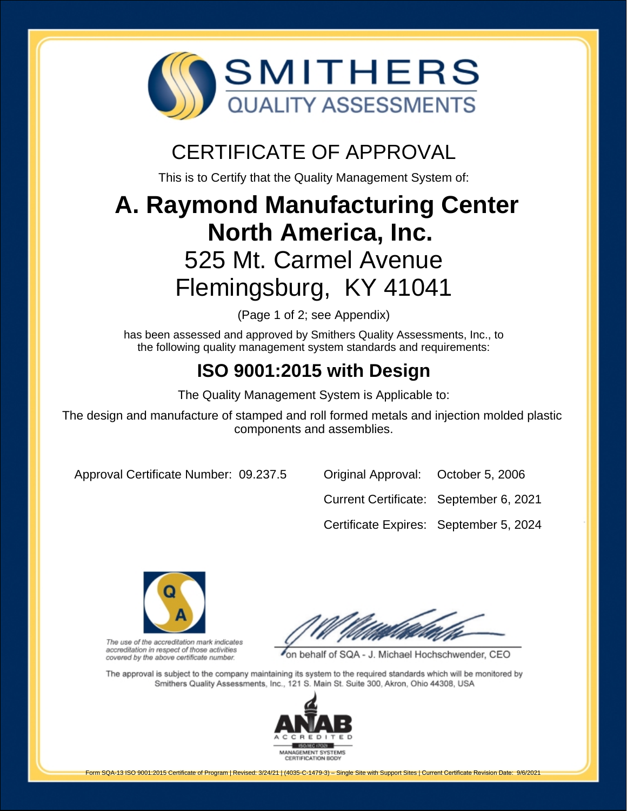

# CERTIFICATE OF APPROVAL

This is to Certify that the Quality Management System of:

# **A. Raymond Manufacturing Center North America, Inc.** 525 Mt. Carmel Avenue Flemingsburg, KY 41041

(Page 1 of 2; see Appendix)

has been assessed and approved by Smithers Quality Assessments, Inc., to the following quality management system standards and requirements:

# **ISO 9001:2015 with Design**

The Quality Management System is Applicable to:

The design and manufacture of stamped and roll formed metals and injection molded plastic components and assemblies.

Approval Certificate Number: 09.237.5 Original Approval: October 5, 2006

Current Certificate: September 6, 2021

Certificate Expires: September 5, 2024



The use of the accreditation mark indicates accreditation in respect of those activities covered by the above certificate number.

on behalf of SQA - J. Michael Hochschwender, CEO

The approval is subject to the company maintaining its system to the required standards which will be monitored by Smithers Quality Assessments, Inc., 121 S. Main St. Suite 300, Akron, Ohio 44308, USA